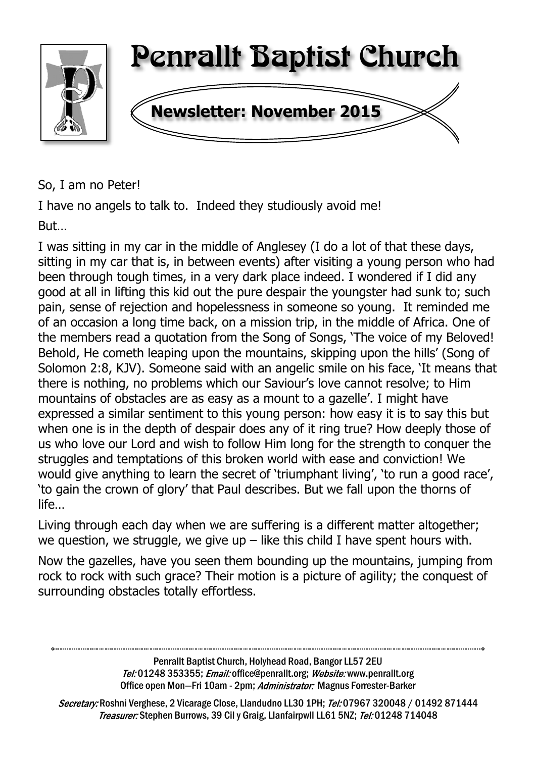

So, I am no Peter!

I have no angels to talk to. Indeed they studiously avoid me!

But…

I was sitting in my car in the middle of Anglesey (I do a lot of that these days, sitting in my car that is, in between events) after visiting a young person who had been through tough times, in a very dark place indeed. I wondered if I did any good at all in lifting this kid out the pure despair the youngster had sunk to; such pain, sense of rejection and hopelessness in someone so young. It reminded me of an occasion a long time back, on a mission trip, in the middle of Africa. One of the members read a quotation from the Song of Songs, 'The voice of my Beloved! Behold, He cometh leaping upon the mountains, skipping upon the hills' (Song of Solomon 2:8, KJV). Someone said with an angelic smile on his face, 'It means that there is nothing, no problems which our Saviour's love cannot resolve; to Him mountains of obstacles are as easy as a mount to a gazelle'. I might have expressed a similar sentiment to this young person: how easy it is to say this but when one is in the depth of despair does any of it ring true? How deeply those of us who love our Lord and wish to follow Him long for the strength to conquer the struggles and temptations of this broken world with ease and conviction! We would give anything to learn the secret of 'triumphant living', 'to run a good race', 'to gain the crown of glory' that Paul describes. But we fall upon the thorns of life…

Living through each day when we are suffering is a different matter altogether; we question, we struggle, we give up  $-$  like this child I have spent hours with.

Now the gazelles, have you seen them bounding up the mountains, jumping from rock to rock with such grace? Their motion is a picture of agility; the conquest of surrounding obstacles totally effortless.

> Penrallt Baptist Church, Holyhead Road, Bangor LL57 2EU Tel:01248 353355; Email: office@penrallt.org; Website: www.penrallt.org Office open Mon-Fri 10am - 2pm: Administrator: Magnus Forrester-Barker

Secretary: Roshni Verghese, 2 Vicarage Close, Llandudno LL30 1PH; Tel: 07967 320048 / 01492 871444 Treasurer: Stephen Burrows, 39 Cil y Graig, Llanfairpwll LL61 5NZ; Tel: 01248 714048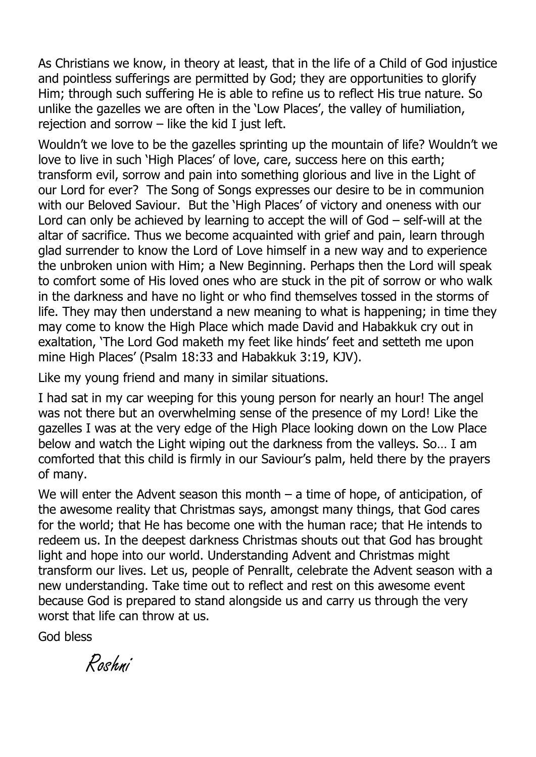As Christians we know, in theory at least, that in the life of a Child of God injustice and pointless sufferings are permitted by God; they are opportunities to glorify Him; through such suffering He is able to refine us to reflect His true nature. So unlike the gazelles we are often in the 'Low Places', the valley of humiliation, rejection and sorrow – like the kid I just left.

Wouldn't we love to be the gazelles sprinting up the mountain of life? Wouldn't we love to live in such 'High Places' of love, care, success here on this earth; transform evil, sorrow and pain into something glorious and live in the Light of our Lord for ever? The Song of Songs expresses our desire to be in communion with our Beloved Saviour. But the 'High Places' of victory and oneness with our Lord can only be achieved by learning to accept the will of God – self-will at the altar of sacrifice. Thus we become acquainted with grief and pain, learn through glad surrender to know the Lord of Love himself in a new way and to experience the unbroken union with Him; a New Beginning. Perhaps then the Lord will speak to comfort some of His loved ones who are stuck in the pit of sorrow or who walk in the darkness and have no light or who find themselves tossed in the storms of life. They may then understand a new meaning to what is happening; in time they may come to know the High Place which made David and Habakkuk cry out in exaltation, 'The Lord God maketh my feet like hinds' feet and setteth me upon mine High Places' (Psalm 18:33 and Habakkuk 3:19, KJV).

Like my young friend and many in similar situations.

I had sat in my car weeping for this young person for nearly an hour! The angel was not there but an overwhelming sense of the presence of my Lord! Like the gazelles I was at the very edge of the High Place looking down on the Low Place below and watch the Light wiping out the darkness from the valleys. So… I am comforted that this child is firmly in our Saviour's palm, held there by the prayers of many.

We will enter the Advent season this month  $-$  a time of hope, of anticipation, of the awesome reality that Christmas says, amongst many things, that God cares for the world; that He has become one with the human race; that He intends to redeem us. In the deepest darkness Christmas shouts out that God has brought light and hope into our world. Understanding Advent and Christmas might transform our lives. Let us, people of Penrallt, celebrate the Advent season with a new understanding. Take time out to reflect and rest on this awesome event because God is prepared to stand alongside us and carry us through the very worst that life can throw at us.

God bless

Roshni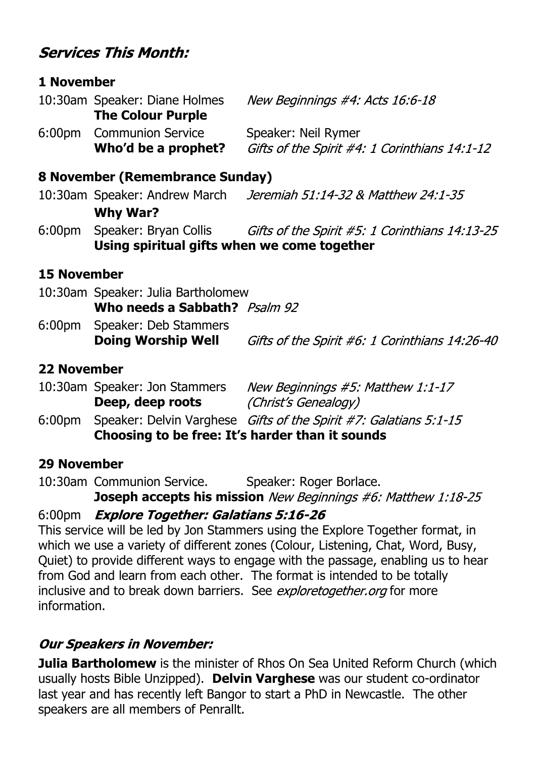## **Services This Month:**

#### **1 November**

10:30am Speaker: Diane Holmes New Beginnings #4: Acts 16:6-18 **The Colour Purple** 6:00pm Communion Service Speaker: Neil Rymer Gifts of the Spirit #4: 1 Corinthians 14:1-12 **Who'd be a prophet?**

## **8 November (Remembrance Sunday)**

10:30am Speaker: Andrew March Jeremiah 51:14-32 & Matthew 24:1-35 **Why War?**

6:00pm Speaker: Bryan Collis Gifts of the Spirit #5: 1 Corinthians 14:13-25 **Using spiritual gifts when we come together**

## **15 November**

- 10:30am Speaker: Julia Bartholomew **Who needs a Sabbath?**
- 6:00pm Speaker: Deb Stammers **Doing Worship Well** Gifts of the Spirit #6: 1 Corinthians 14:26-40

## **22 November**

|           | 10:30am Speaker: Jon Stammers                   | New Beginnings #5: Matthew 1:1-17                                        |  |  |
|-----------|-------------------------------------------------|--------------------------------------------------------------------------|--|--|
|           | Deep, deep roots                                | <i>(Christ's Genealogy)</i>                                              |  |  |
| $6:00$ pm |                                                 | Speaker: Delvin Varghese <i>Gifts of the Spirit #7: Galatians 5:1-15</i> |  |  |
|           | Choosing to be free: It's harder than it sounds |                                                                          |  |  |

## **29 November**

10:30am Communion Service. Speaker: Roger Borlace. **Joseph accepts his mission** New Beginnings #6: Matthew 1:18-25

## 6:00pm Explore Together: Galatians 5:16-26

This service will be led by Jon Stammers using the Explore Together format, in which we use a variety of different zones (Colour, Listening, Chat, Word, Busy, Quiet) to provide different ways to engage with the passage, enabling us to hear from God and learn from each other. The format is intended to be totally inclusive and to break down barriers. See *exploretogether.org* for more information.

## **Our Speakers in November:**

**Julia Bartholomew** is the minister of Rhos On Sea United Reform Church (which usually hosts Bible Unzipped). **Delvin Varghese** was our student co-ordinator last year and has recently left Bangor to start a PhD in Newcastle. The other speakers are all members of Penrallt.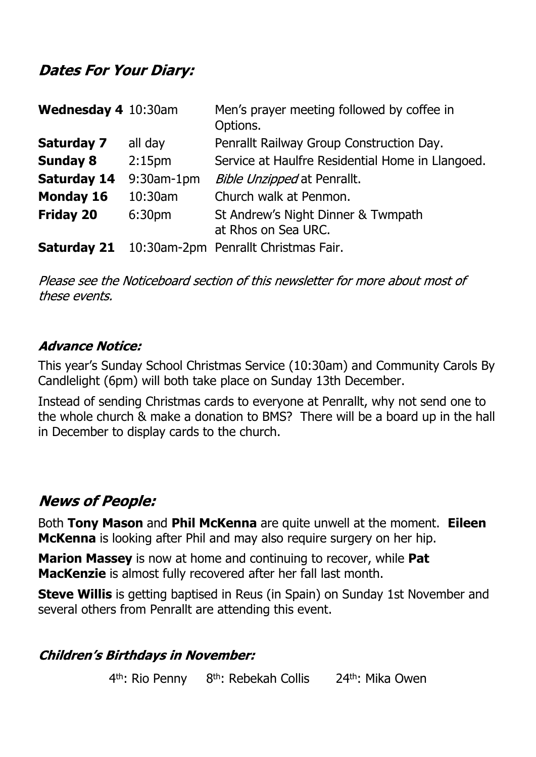## **Dates For Your Diary:**

| Wednesday 4 10:30am |                    | Men's prayer meeting followed by coffee in<br>Options.    |
|---------------------|--------------------|-----------------------------------------------------------|
| <b>Saturday 7</b>   | all day            | Penrallt Railway Group Construction Day.                  |
| <b>Sunday 8</b>     | 2:15 <sub>pm</sub> | Service at Haulfre Residential Home in Llangoed.          |
| <b>Saturday 14</b>  | $9:30$ am-1pm      | <b>Bible Unzipped at Penrallt.</b>                        |
| <b>Monday 16</b>    | 10:30am            | Church walk at Penmon.                                    |
| <b>Friday 20</b>    | 6:30pm             | St Andrew's Night Dinner & Twmpath<br>at Rhos on Sea URC. |
|                     |                    | <b>Saturday 21</b> 10:30am-2pm Penrallt Christmas Fair.   |

Please see the Noticeboard section of this newsletter for more about most of these events.

#### **Advance Notice:**

This year's Sunday School Christmas Service (10:30am) and Community Carols By Candlelight (6pm) will both take place on Sunday 13th December.

Instead of sending Christmas cards to everyone at Penrallt, why not send one to the whole church & make a donation to BMS? There will be a board up in the hall in December to display cards to the church.

# **News of People:**

Both **Tony Mason** and **Phil McKenna** are quite unwell at the moment. **Eileen McKenna** is looking after Phil and may also require surgery on her hip.

**Marion Massey** is now at home and continuing to recover, while **Pat MacKenzie** is almost fully recovered after her fall last month.

**Steve Willis** is getting baptised in Reus (in Spain) on Sunday 1st November and several others from Penrallt are attending this event.

## **Children's Birthdays in November:**

4<sup>th</sup>: Rio Penny 8<sup>th</sup>: Rebekah Collis 24<sup>th</sup>: Mika Owen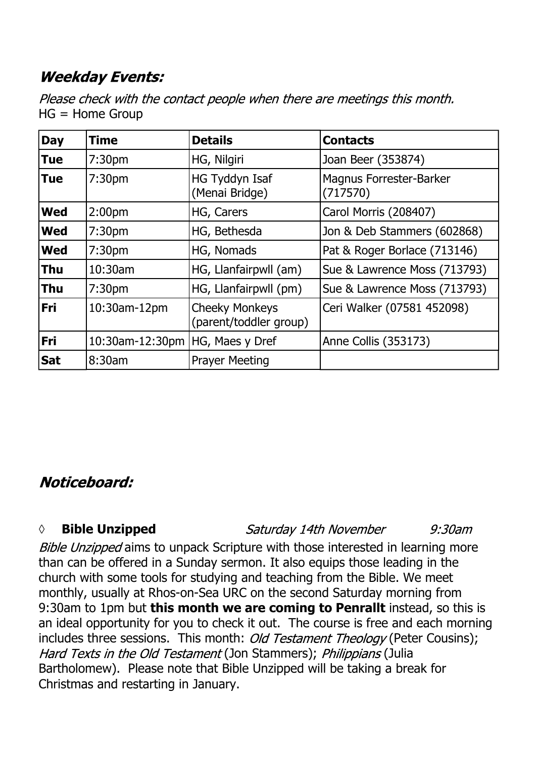# **Weekday Events:**

| <b>Day</b> | <b>Time</b>        | <b>Details</b>                                  | <b>Contacts</b>                     |
|------------|--------------------|-------------------------------------------------|-------------------------------------|
| <b>Tue</b> | 7:30 <sub>pm</sub> | HG, Nilgiri                                     | Joan Beer (353874)                  |
| <b>Tue</b> | 7:30 <sub>pm</sub> | HG Tyddyn Isaf<br>(Menai Bridge)                | Magnus Forrester-Barker<br>(717570) |
| <b>Wed</b> | 2:00 <sub>pm</sub> | HG, Carers                                      | Carol Morris (208407)               |
| <b>Wed</b> | 7:30 <sub>pm</sub> | HG, Bethesda                                    | Jon & Deb Stammers (602868)         |
| <b>Wed</b> | 7:30 <sub>pm</sub> | HG, Nomads                                      | Pat & Roger Borlace (713146)        |
| <b>Thu</b> | $10:30$ am         | HG, Llanfairpwll (am)                           | Sue & Lawrence Moss (713793)        |
| <b>Thu</b> | 7:30 <sub>pm</sub> | HG, Llanfairpwll (pm)                           | Sue & Lawrence Moss (713793)        |
| <b>Fri</b> | 10:30am-12pm       | <b>Cheeky Monkeys</b><br>(parent/toddler group) | Ceri Walker (07581 452098)          |
| <b>Fri</b> | 10:30am-12:30pm    | HG, Maes y Dref                                 | Anne Collis (353173)                |
| <b>Sat</b> | 8:30am             | <b>Prayer Meeting</b>                           |                                     |

Please check with the contact people when there are meetings this month. HG = Home Group

# Noticeboard:

## *◊* **Bible Unzipped**

Saturday 14th November  $9:30$ am

Bible Unzipped aims to unpack Scripture with those interested in learning more than can be offered in a Sunday sermon. It also equips those leading in the church with some tools for studying and teaching from the Bible. We meet monthly, usually at Rhos-on-Sea URC on the second Saturday morning from 9:30am to 1pm but **this month we are coming to Penrallt** instead, so this is an ideal opportunity for you to check it out. The course is free and each morning includes three sessions. This month: *Old Testament Theology* (Peter Cousins); Hard Texts in the Old Testament (Jon Stammers); Philippians (Julia Bartholomew). Please note that Bible Unzipped will be taking a break for Christmas and restarting in January.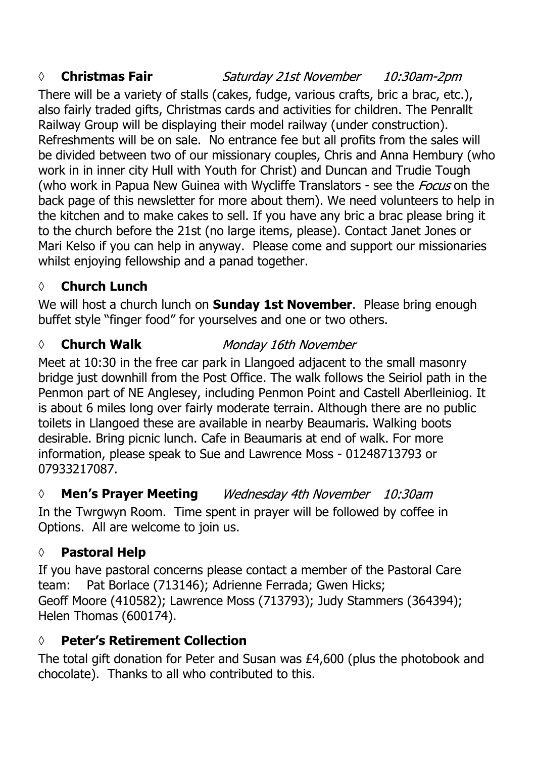#### *◊* **Christmas Fair**

Saturday 21st November 10:30am-2pm

There will be a variety of stalls (cakes, fudge, various crafts, bric a brac, etc.), also fairly traded gifts, Christmas cards and activities for children. The Penrallt Railway Group will be displaying their model railway (under construction). Refreshments will be on sale. No entrance fee but all profits from the sales will be divided between two of our missionary couples, Chris and Anna Hembury (who work in in inner city Hull with Youth for Christ) and Duncan and Trudie Tough (who work in Papua New Guinea with Wycliffe Translators - see the *Focus* on the back page of this newsletter for more about them). We need volunteers to help in the kitchen and to make cakes to sell. If you have any bric a brac please bring it to the church before the 21st (no large items, please). Contact Janet Jones or Mari Kelso if you can help in anyway. Please come and support our missionaries whilst enjoying fellowship and a panad together.

## **◊ Church Lunch**

We will host a church lunch on **Sunday 1st November**. Please bring enough buffet style "finger food" for yourselves and one or two others.

## *◊* **Church Walk**

Monday 16th November

Meet at 10:30 in the free car park in Llangoed adjacent to the small masonry bridge just downhill from the Post Office. The walk follows the Seiriol path in the Penmon part of NE Anglesey, including Penmon Point and Castell Aberlleiniog. It is about 6 miles long over fairly moderate terrain. Although there are no public toilets in Llangoed these are available in nearby Beaumaris. Walking boots desirable. Bring picnic lunch. Cafe in Beaumaris at end of walk. For more information, please speak to Sue and Lawrence Moss - 01248713793 or 07933217087.

Wednesday 4th November *◊* **Men's Prayer Meeting** 10:30am In the Twrgwyn Room. Time spent in prayer will be followed by coffee in Options. All are welcome to join us.

# **◊ Pastoral Help**

If you have pastoral concerns please contact a member of the Pastoral Care team: Pat Borlace (713146); Adrienne Ferrada; Gwen Hicks; Geoff Moore (410582); Lawrence Moss (713793); Judy Stammers (364394); Helen Thomas (600174).

# **◊ Peter's Retirement Collection**

The total gift donation for Peter and Susan was £4,600 (plus the photobook and chocolate). Thanks to all who contributed to this.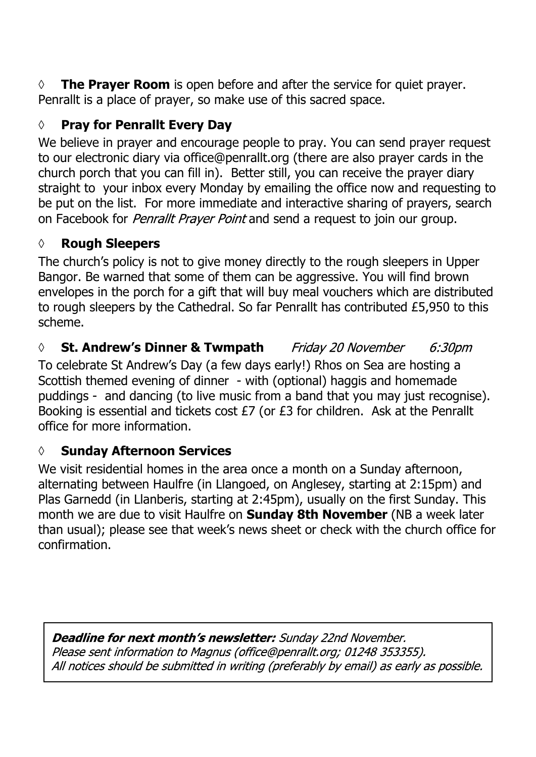◊ **The Prayer Room** is open before and after the service for quiet prayer. Penrallt is a place of prayer, so make use of this sacred space.

## **◊ Pray for Penrallt Every Day**

We believe in prayer and encourage people to pray. You can send prayer request to our electronic diary via office@penrallt.org (there are also prayer cards in the church porch that you can fill in). Better still, you can receive the prayer diary straight to your inbox every Monday by emailing the office now and requesting to be put on the list. For more immediate and interactive sharing of prayers, search on Facebook for *Penrallt Prayer Point* and send a request to join our group.

## **◊ Rough Sleepers**

The church's policy is not to give money directly to the rough sleepers in Upper Bangor. Be warned that some of them can be aggressive. You will find brown envelopes in the porch for a gift that will buy meal vouchers which are distributed to rough sleepers by the Cathedral. So far Penrallt has contributed £5,950 to this scheme.

*◊* **St. Andrew's Dinner & Twmpath** Friday 20 November 6:30pm To celebrate St Andrew's Day (a few days early!) Rhos on Sea are hosting a Scottish themed evening of dinner - with (optional) haggis and homemade puddings - and dancing (to live music from a band that you may just recognise). Booking is essential and tickets cost £7 (or £3 for children. Ask at the Penrallt office for more information.

## **◊ Sunday Afternoon Services**

We visit residential homes in the area once a month on a Sunday afternoon, alternating between Haulfre (in Llangoed, on Anglesey, starting at 2:15pm) and Plas Garnedd (in Llanberis, starting at 2:45pm), usually on the first Sunday. This month we are due to visit Haulfre on **Sunday 8th November** (NB a week later than usual); please see that week's news sheet or check with the church office for confirmation.

**Deadline for next month's newsletter:** Sunday 22nd November. Please sent information to Magnus (office@penrallt.org; 01248 353355). All notices should be submitted in writing (preferably by email) as early as possible.